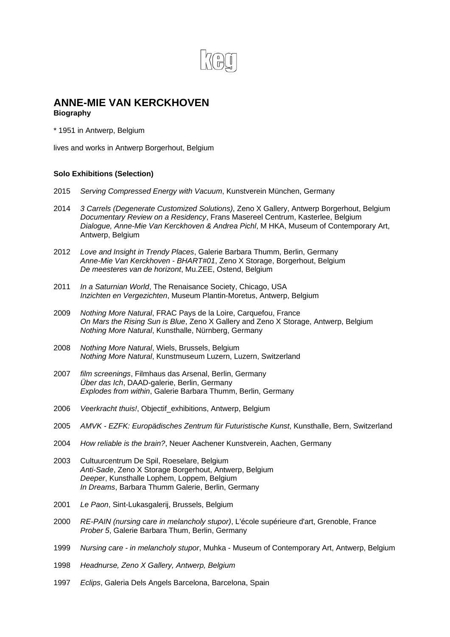

# **ANNE-MIE VAN KERCKHOVEN**

## **Biography**

\* 1951 in Antwerp, Belgium

lives and works in Antwerp Borgerhout, Belgium

## **Solo Exhibitions (Selection)**

- 2015 *Serving Compressed Energy with Vacuum*, Kunstverein München, Germany
- 2014 *3 Carrels (Degenerate Customized Solutions)*, Zeno X Gallery, Antwerp Borgerhout, Belgium *Documentary Review on a Residency*, Frans Masereel Centrum, Kasterlee, Belgium *Dialogue, Anne-Mie Van Kerckhoven & Andrea Pichl*, M HKA, Museum of Contemporary Art, Antwerp, Belgium
- 2012 *Love and Insight in Trendy Places*, Galerie Barbara Thumm, Berlin, Germany *Anne-Mie Van Kerckhoven - BHART#01*, Zeno X Storage, Borgerhout, Belgium *De meesteres van de horizont*, Mu.ZEE, Ostend, Belgium
- 2011 *In a Saturnian World*, The Renaisance Society, Chicago, USA *Inzichten en Vergezichten*, Museum Plantin-Moretus, Antwerp, Belgium
- 2009 *Nothing More Natural*, FRAC Pays de la Loire, Carquefou, France *On Mars the Rising Sun is Blue*, Zeno X Gallery and Zeno X Storage, Antwerp, Belgium *Nothing More Natural*, Kunsthalle, Nürnberg, Germany
- 2008 *Nothing More Natural*, Wiels, Brussels, Belgium *Nothing More Natural*, Kunstmuseum Luzern, Luzern, Switzerland
- 2007 *film screenings*, Filmhaus das Arsenal, Berlin, Germany *Über das Ich*, DAAD-galerie, Berlin, Germany *Explodes from within*, Galerie Barbara Thumm, Berlin, Germany
- 2006 *Veerkracht thuis!*, Objectif\_exhibitions, Antwerp, Belgium
- 2005 *AMVK EZFK: Europädisches Zentrum für Futuristische Kunst*, Kunsthalle, Bern, Switzerland
- 2004 *How reliable is the brain?*, Neuer Aachener Kunstverein, Aachen, Germany
- 2003 Cultuurcentrum De Spil, Roeselare, Belgium *Anti-Sade*, Zeno X Storage Borgerhout, Antwerp, Belgium *Deeper*, Kunsthalle Lophem, Loppem, Belgium *In Dreams*, Barbara Thumm Galerie, Berlin, Germany
- 2001 *Le Paon*, Sint-Lukasgalerij, Brussels, Belgium
- 2000 *RE-PAIN (nursing care in melancholy stupor)*, L'école supérieure d'art, Grenoble, France *Prober 5*, Galerie Barbara Thum, Berlin, Germany
- 1999 *Nursing care in melancholy stupor*, Muhka Museum of Contemporary Art, Antwerp, Belgium
- 1998 *Headnurse, Zeno X Gallery, Antwerp, Belgium*
- 1997 *Eclips*, Galeria Dels Angels Barcelona, Barcelona, Spain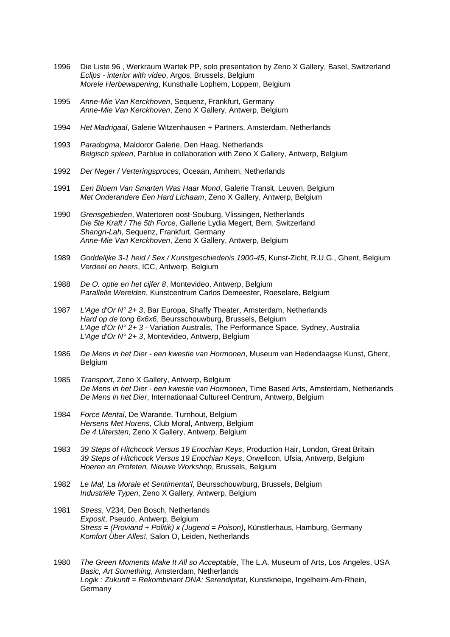- 1996 Die Liste 96 , Werkraum Wartek PP, solo presentation by Zeno X Gallery, Basel, Switzerland *Eclips - interior with video*, Argos, Brussels, Belgium *Morele Herbewapening*, Kunsthalle Lophem, Loppem, Belgium
- 1995 *Anne-Mie Van Kerckhoven*, Sequenz, Frankfurt, Germany *Anne-Mie Van Kerckhoven*, Zeno X Gallery, Antwerp, Belgium
- 1994 *Het Madrigaal*, Galerie Witzenhausen + Partners, Amsterdam, Netherlands
- 1993 *Paradogma*, Maldoror Galerie, Den Haag, Netherlands *Belgisch spleen*, Parblue in collaboration with Zeno X Gallery, Antwerp, Belgium
- 1992 *Der Neger / Verteringsproces*, Oceaan, Arnhem, Netherlands
- 1991 *Een Bloem Van Smarten Was Haar Mond*, Galerie Transit, Leuven, Belgium *Met Onderandere Een Hard Lichaam*, Zeno X Gallery, Antwerp, Belgium
- 1990 *Grensgebieden*, Watertoren oost-Souburg, Vlissingen, Netherlands *Die 5te Kraft / The 5th Force*, Gallerie Lydia Megert, Bern, Switzerland *Shangri-Lah*, Sequenz, Frankfurt, Germany *Anne-Mie Van Kerckhoven*, Zeno X Gallery, Antwerp, Belgium
- 1989 *Goddelijke 3-1 heid / Sex / Kunstgeschiedenis 1900-45*, Kunst-Zicht, R.U.G., Ghent, Belgium *Verdeel en heers*, ICC, Antwerp, Belgium
- 1988 *De O. optie en het cijfer 8*, Montevideo, Antwerp, Belgium *Parallelle Werelden*, Kunstcentrum Carlos Demeester, Roeselare, Belgium
- 1987 *L'Age d'Or N° 2+ 3*, Bar Europa, Shaffy Theater, Amsterdam, Netherlands *Hard op de tong 6x6x6*, Beursschouwburg, Brussels, Belgium *L'Age d'Or N° 2+ 3* - Variation Australis, The Performance Space, Sydney, Australia *L'Age d'Or N° 2+ 3*, Montevideo, Antwerp, Belgium
- 1986 *De Mens in het Dier een kwestie van Hormonen*, Museum van Hedendaagse Kunst, Ghent, **Belgium**
- 1985 *Transport*, Zeno X Gallery, Antwerp, Belgium *De Mens in het Dier - een kwestie van Hormonen*, Time Based Arts, Amsterdam, Netherlands *De Mens in het Dier*, Internationaal Cultureel Centrum, Antwerp, Belgium
- 1984 *Force Mental*, De Warande, Turnhout, Belgium *Hersens Met Horens*, Club Moral, Antwerp, Belgium *De 4 Uitersten*, Zeno X Gallery, Antwerp, Belgium
- 1983 *39 Steps of Hitchcock Versus 19 Enochian Keys*, Production Hair, London, Great Britain *39 Steps of Hitchcock Versus 19 Enochian Keys*, Orwellcon, Ufsia, Antwerp, Belgium *Hoeren en Profeten, Nieuwe Workshop*, Brussels, Belgium
- 1982 *Le Mal, La Morale et Sentimenta'l*, Beursschouwburg, Brussels, Belgium *Industriële Typen*, Zeno X Gallery, Antwerp, Belgium
- 1981 *Stress*, V234, Den Bosch, Netherlands *Exposit*, Pseudo, Antwerp, Belgium *Stress = (Proviand + Politik) x (Jugend = Poison)*, Künstlerhaus, Hamburg, Germany *Komfort Über Alles!*, Salon O, Leiden, Netherlands

1980 *The Green Moments Make It All so Acceptable*, The L.A. Museum of Arts, Los Angeles, USA *Basic, Art Something*, Amsterdam, Netherlands *Logik : Zukunft = Rekombinant DNA: Serendipitat*, Kunstkneipe, Ingelheim-Am-Rhein, Germany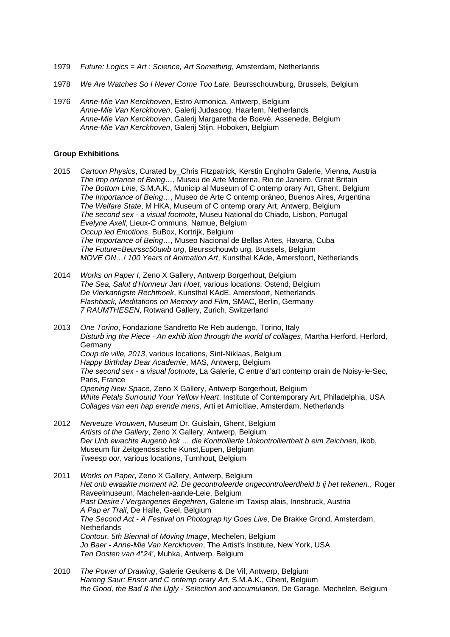- 1979 *Future: Logics = Art : Science, Art Something*, Amsterdam, Netherlands
- 1978 *We Are Watches So I Never Come Too Late*, Beursschouwburg, Brussels, Belgium
- 1976 *Anne-Mie Van Kerckhoven*, Estro Armonica, Antwerp, Belgium *Anne-Mie Van Kerckhoven*, Galerij Judasoog, Haarlem, Netherlands *Anne-Mie Van Kerckhoven*, Galerij Margaretha de Boevé, Assenede, Belgium *Anne-Mie Van Kerckhoven*, Galerij Stijn, Hoboken, Belgium

#### **Group Exhibitions**

- 2015 *Cartoon Physics*, Curated by\_Chris Fitzpatrick, Kerstin Engholm Galerie, Vienna, Austria *The Imp ortance of Being…*, Museu de Arte Moderna, Rio de Janeiro, Great Britain *The Bottom Line*, S.M.A.K., Municip al Museum of C ontemp orary Art, Ghent, Belgium *The Importance of Being…*, Museo de Arte C ontemp oráneo, Buenos Aires, Argentina *The Welfare State*, M HKA, Museum of C ontemp orary Art, Antwerp, Belgium *The second sex - a visual footnote*, Museu National do Chiado, Lisbon, Portugal *Evelyne Axell*, Lieux-C ommuns, Namue, Belgium *Occup ied Emotions*, BuBox, Kortrijk, Belgium *The Importance of Being…*, Museo Nacional de Bellas Artes, Havana, Cuba *The Future=Beurssc50uwb urg*, Beursschouwb urg, Brussels, Belgium *MOVE ON…! 100 Years of Animation Art*, Kunsthal KAde, Amersfoort, Netherlands
- 2014 *Works on Paper I*, Zeno X Gallery, Antwerp Borgerhout, Belgium *The Sea, Salut d'Honneur Jan Hoet*, various locations, Ostend, Belgium *De Vierkantigste Rechthoek*, Kunsthal KAdE, Amersfoort, Netherlands *Flashback, Meditations on Memory and Film*, SMAC, Berlin, Germany *7 RAUMTHESEN*, Rotwand Gallery, Zurich, Switzerland
- 2013 *One Torino*, Fondazione Sandretto Re Reb audengo, Torino, Italy *Disturb ing the Piece - An exhib ition through the world of collages*, Martha Herford, Herford, Germany *Coup de ville, 2013*, various locations, Sint-Niklaas, Belgium *Happy Birthday Dear Academie*, MAS, Antwerp, Belgium *The second sex - a visual footnote*, La Galerie, C entre d'art contemp orain de Noisy-le-Sec, Paris, France *Opening New Space*, Zeno X Gallery, Antwerp Borgerhout, Belgium *White Petals Surround Your Yellow Heart*, Institute of Contemporary Art, Philadelphia, USA *Collages van een hap erende mens*, Arti et Amicitiae, Amsterdam, Netherlands
- 2012 *Nerveuze Vrouwen*, Museum Dr. Guislain, Ghent, Belgium *Artists of the Gallery*, Zeno X Gallery, Antwerp, Belgium *Der Unb ewachte Augenb lick … die Kontrollierte Unkontrolliertheit b eim Zeichnen*, ikob, Museum für Zeitgenössische Kunst,Eupen, Belgium *Tweesp oor*, various locations, Turnhout, Belgium
- 2011 *Works on Paper*, Zeno X Gallery, Antwerp, Belgium *Het onb ewaakte moment #2. De gecontroleerde ongecontroleerdheid b ij het tekenen.*, Roger Raveelmuseum, Machelen-aande-Leie, Belgium *Past Desire / Vergangenes Begehren*, Galerie im Taxisp alais, Innsbruck, Austria *A Pap er Trail*, De Halle, Geel, Belgium *The Second Act - A Festival on Photograp hy Goes Live*, De Brakke Grond, Amsterdam, **Netherlands** *Contour. 5th Biennal of Moving Image*, Mechelen, Belgium *Jo Baer - Anne-Mie Van Kerckhoven*, The Artist's Institute, New York, USA *Ten Oosten van 4°24'*, Muhka, Antwerp, Belgium
- 2010 *The Power of Drawing*, Galerie Geukens & De Vil, Antwerp, Belgium *Hareng Saur: Ensor and C ontemp orary Art*, S.M.A.K., Ghent, Belgium *the Good, the Bad & the Ugly - Selection and accumulation*, De Garage, Mechelen, Belgium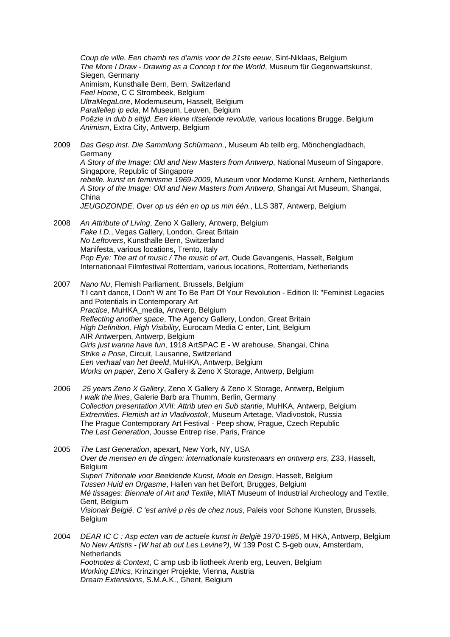*Coup de ville. Een chamb res d'amis voor de 21ste eeuw*, Sint-Niklaas, Belgium *The More I Draw - Drawing as a Concep t for the World*, Museum für Gegenwartskunst, Siegen, Germany Animism, Kunsthalle Bern, Bern, Switzerland *Feel Home*, C C Strombeek, Belgium *UltraMegaLore*, Modemuseum, Hasselt, Belgium *Parallellep ip eda*, M Museum, Leuven, Belgium *Poëzie in dub b eltijd. Een kleine ritselende revolutie,* various locations Brugge, Belgium *Animism*, Extra City, Antwerp, Belgium

- 2009 *Das Gesp inst. Die Sammlung Schürmann.*, Museum Ab teilb erg, Mönchengladbach, Germany *A Story of the Image: Old and New Masters from Antwerp*, National Museum of Singapore, Singapore, Republic of Singapore *rebelle. kunst en feminisme 1969-2009*, Museum voor Moderne Kunst, Arnhem, Netherlands *A Story of the Image: Old and New Masters from Antwerp*, Shangai Art Museum, Shangai, China *JEUGDZONDE. Over op us één en op us min één.*, LLS 387, Antwerp, Belgium
- 2008 *An Attribute of Living*, Zeno X Gallery, Antwerp, Belgium *Fake I.D.*, Vegas Gallery, London, Great Britain *No Leftovers*, Kunsthalle Bern, Switzerland Manifesta, various locations, Trento, Italy *Pop Eye: The art of music / The music of art*, Oude Gevangenis, Hasselt, Belgium Internationaal Filmfestival Rotterdam, various locations, Rotterdam, Netherlands

2007 *Nano Nu*, Flemish Parliament, Brussels, Belgium 'f I can't dance, I Don't W ant To Be Part Of Your Revolution - Edition II: "Feminist Legacies and Potentials in Contemporary Art *Practice*, MuHKA\_media, Antwerp, Belgium *Reflecting another space*, The Agency Gallery, London, Great Britain *High Definition, High Visibility*, Eurocam Media C enter, Lint, Belgium AIR Antwerpen, Antwerp, Belgium *Girls just wanna have fun*, 1918 ArtSPAC E - W arehouse, Shangai, China *Strike a Pose*, Circuit, Lausanne, Switzerland *Een verhaal van het Beeld*, MuHKA, Antwerp, Belgium *Works on paper*, Zeno X Gallery & Zeno X Storage, Antwerp, Belgium

2006 *25 years Zeno X Gallery*, Zeno X Gallery & Zeno X Storage, Antwerp, Belgium *I walk the lines*, Galerie Barb ara Thumm, Berlin, Germany *Collection presentation XVII: Attrib uten en Sub stantie*, MuHKA, Antwerp, Belgium *Extremities. Flemish art in Vladivostok*, Museum Artetage, Vladivostok, Russia The Prague Contemporary Art Festival - Peep show, Prague, Czech Republic *The Last Generation*, Jousse Entrep rise, Paris, France

2005 *The Last Generation*, apexart, New York, NY, USA *Over de mensen en de dingen: internationale kunstenaars en ontwerp ers*, Z33, Hasselt, Belgium *Super! Triënnale voor Beeldende Kunst, Mode en Design*, Hasselt, Belgium *Tussen Huid en Orgasme*, Hallen van het Belfort, Brugges, Belgium *Mé tissages: Biennale of Art and Textile*, MIAT Museum of Industrial Archeology and Textile, Gent, Belgium *Visionair België. C 'est arrivé p rès de chez nous*, Paleis voor Schone Kunsten, Brussels, **Belgium** 

2004 *DEAR IC C : Asp ecten van de actuele kunst in België 1970-1985*, M HKA, Antwerp, Belgium *No New Artistis - (W hat ab out Les Levine?)*, W 139 Post C S-geb ouw, Amsterdam, **Netherlands** *Footnotes & Context*, C amp usb ib liotheek Arenb erg, Leuven, Belgium *Working Ethics*, Krinzinger Projekte, Vienna, Austria *Dream Extensions*, S.M.A.K., Ghent, Belgium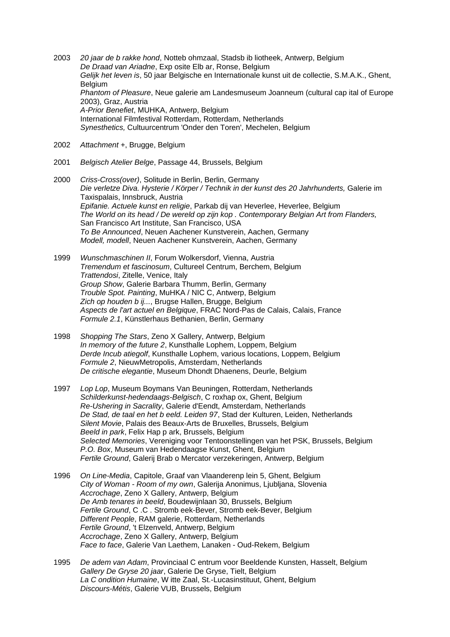2003 *20 jaar de b rakke hond*, Notteb ohmzaal, Stadsb ib liotheek, Antwerp, Belgium *De Draad van Ariadne*, Exp osite Elb ar, Ronse, Belgium *Gelijk het leven is*, 50 jaar Belgische en Internationale kunst uit de collectie, S.M.A.K., Ghent, Belgium *Phantom of Pleasure*, Neue galerie am Landesmuseum Joanneum (cultural cap ital of Europe 2003), Graz, Austria *A-Prior Benefiet*, MUHKA, Antwerp, Belgium International Filmfestival Rotterdam, Rotterdam, Netherlands *Synesthetics,* Cultuurcentrum 'Onder den Toren', Mechelen, Belgium

- 2002 *Attachment +*, Brugge, Belgium
- 2001 *Belgisch Atelier Belge*, Passage 44, Brussels, Belgium
- 2000 *Criss-Cross(over)*, Solitude in Berlin, Berlin, Germany *Die verletze Diva. Hysterie / Körper / Technik in der kunst des 20 Jahrhunderts,* Galerie im Taxispalais, Innsbruck, Austria *Epifanie. Actuele kunst en religie*, Parkab dij van Heverlee, Heverlee, Belgium *The World on its head / De wereld op zijn kop . Contemporary Belgian Art from Flanders,* San Francisco Art Institute, San Francisco, USA *To Be Announced*, Neuen Aachener Kunstverein, Aachen, Germany *Modell, modell*, Neuen Aachener Kunstverein, Aachen, Germany
- 1999 *Wunschmaschinen II*, Forum Wolkersdorf, Vienna, Austria *Tremendum et fascinosum*, Cultureel Centrum, Berchem, Belgium *Trattendosi*, Zitelle, Venice, Italy *Group Show*, Galerie Barbara Thumm, Berlin, Germany *Trouble Spot. Painting*, MuHKA / NIC C, Antwerp, Belgium *Zich op houden b ij...*, Brugse Hallen, Brugge, Belgium *Aspects de l'art actuel en Belgique*, FRAC Nord-Pas de Calais, Calais, France *Formule 2.1*, Künstlerhaus Bethanien, Berlin, Germany
- 1998 *Shopping The Stars*, Zeno X Gallery, Antwerp, Belgium *In memory of the future 2*, Kunsthalle Lophem, Loppem, Belgium *Derde Incub atiegolf*, Kunsthalle Lophem, various locations, Loppem, Belgium *Formule 2*, NieuwMetropolis, Amsterdam, Netherlands *De critische elegantie*, Museum Dhondt Dhaenens, Deurle, Belgium
- 1997 *Lop Lop*, Museum Boymans Van Beuningen, Rotterdam, Netherlands *Schilderkunst-hedendaags-Belgisch*, C roxhap ox, Ghent, Belgium *Re-Ushering in Sacrality*, Galerie d'Eendt, Amsterdam, Netherlands *De Stad, de taal en het b eeld. Leiden 97*, Stad der Kulturen, Leiden, Netherlands *Silent Movie*, Palais des Beaux-Arts de Bruxelles, Brussels, Belgium *Beeld in park*, Felix Hap p ark, Brussels, Belgium *Selected Memories*, Vereniging voor Tentoonstellingen van het PSK, Brussels, Belgium *P.O. Box*, Museum van Hedendaagse Kunst, Ghent, Belgium *Fertile Ground*, Galerij Brab o Mercator verzekeringen, Antwerp, Belgium
- 1996 *On Line-Media*, Capitole, Graaf van Vlaanderenp lein 5, Ghent, Belgium *City of Woman - Room of my own*, Galerija Anonimus, Ljubljana, Slovenia *Accrochage*, Zeno X Gallery, Antwerp, Belgium *De Amb tenares in beeld*, Boudewijnlaan 30, Brussels, Belgium *Fertile Ground*, C .C . Stromb eek-Bever, Stromb eek-Bever, Belgium *Different People*, RAM galerie, Rotterdam, Netherlands *Fertile Ground*, 't Elzenveld, Antwerp, Belgium *Accrochage*, Zeno X Gallery, Antwerp, Belgium *Face to face*, Galerie Van Laethem, Lanaken - Oud-Rekem, Belgium
- 1995 *De adem van Adam*, Provinciaal C entrum voor Beeldende Kunsten, Hasselt, Belgium *Gallery De Gryse 20 jaar*, Galerie De Gryse, Tielt, Belgium *La C ondition Humaine*, W itte Zaal, St.-Lucasinstituut, Ghent, Belgium *Discours-Métis*, Galerie VUB, Brussels, Belgium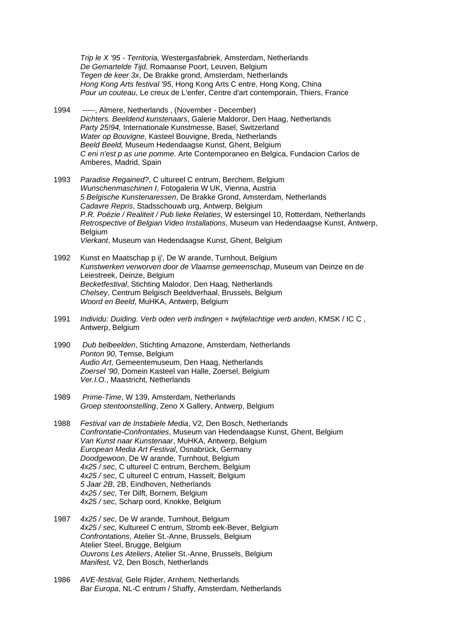*Trip le X '95 - Territoria,* Westergasfabriek, Amsterdam, Netherlands *De Gemartelde Tijd*, Romaanse Poort, Leuven, Belgium *Tegen de keer 3x*, De Brakke grond, Amsterdam, Netherlands *Hong Kong Arts festival '95*, Hong Kong Arts C entre, Hong Kong, China *Pour un couteau*, Le creux de L'enfer, Centre d'art contemporain, Thiers, France

- 1994 *-----*, Almere, Netherlands , (November December) *Dichters. Beeldend kunstenaars*, Galerie Maldoror, Den Haag, Netherlands *Party 25!94,* Internationale Kunstmesse, Basel, Switzerland *Water op Bouvigne*, Kasteel Bouvigne, Breda, Netherlands *Beeld Beeld,* Museum Hedendaagse Kunst, Ghent, Belgium *C eni n'est p as une pomme.* Arte Contemporaneo en Belgica, Fundacion Carlos de Amberes, Madrid, Spain
- 1993 *Paradise Regained?*, C ultureel C entrum, Berchem, Belgium *Wunschenmaschinen I*, Fotogaleria W UK, Vienna, Austria *5 Belgische Kunstenaressen*, De Brakke Grond, Amsterdam, Netherlands *Cadavre Repris*, Stadsschouwb urg, Antwerp, Belgium *P.R. Poëzie / Realiteit / Pub lieke Relaties*, W estersingel 10, Rotterdam, Netherlands *Retrospective of Belgian Video Installations*, Museum van Hedendaagse Kunst, Antwerp, **Belgium** *Vierkant*, Museum van Hedendaagse Kunst, Ghent, Belgium
- 1992 Kunst en Maatschap p ij', De W arande, Turnhout, Belgium *Kunstwerken verworven door de Vlaamse gemeenschap*, Museum van Deinze en de Leiestreek, Deinze, Belgium *Becketfestival*, Stichting Malodor, Den Haag, Netherlands *Chelsey*, Centrum Belgisch Beeldverhaal, Brussels, Belgium *Woord en Beeld*, MuHKA, Antwerp, Belgium
- 1991 *Individu: Duiding. Verb oden verb indingen + twijfelachtige verb anden*, KMSK / IC C , Antwerp, Belgium
- 1990 *Dub belbeelden*, Stichting Amazone, Amsterdam, Netherlands *Ponton 90*, Temse, Belgium *Audio Art*, Gemeentemuseum, Den Haag, Netherlands *Zoersel '90*, Domein Kasteel van Halle, Zoersel, Belgium *Ver.I.O*., Maastricht, Netherlands
- 1989 *Prime-Time*, W 139, Amsterdam, Netherlands *Groep stentoonstelling*, Zeno X Gallery, Antwerp, Belgium
- 1988 *Festival van de Instabiele Media*, V2, Den Bosch, Netherlands *Confrontatie-Confrontaties*, Museum van Hedendaagse Kunst, Ghent, Belgium *Van Kunst naar Kunstenaar*, MuHKA, Antwerp, Belgium *European Media Art Festival*, Osnabrück, Germany *Doodgewoon*, De W arande, Turnhout, Belgium *4x25 / sec*, C ultureel C entrum, Berchem, Belgium *4x25 / sec*, C ultureel C entrum, Hasselt, Belgium *5 Jaar 2B*, 2B, Eindhoven, Netherlands *4x25 / sec*, Ter Dilft, Bornem, Belgium *4x25 / sec*, Scharp oord, Knokke, Belgium
- 1987 *4x25 / sec*, De W arande, Turnhout, Belgium *4x25 / sec*, Kultureel C entrum, Stromb eek-Bever, Belgium *Confrontations*, Atelier St.-Anne, Brussels, Belgium Atelier Steel, Brugge, Belgium *Ouvrons Les Ateliers*, Atelier St.-Anne, Brussels, Belgium *Manifest,* V2, Den Bosch, Netherlands
- 1986 *AVE-festival,* Gele Rijder, Arnhem, Netherlands *Bar Europa*, NL-C entrum / Shaffy, Amsterdam, Netherlands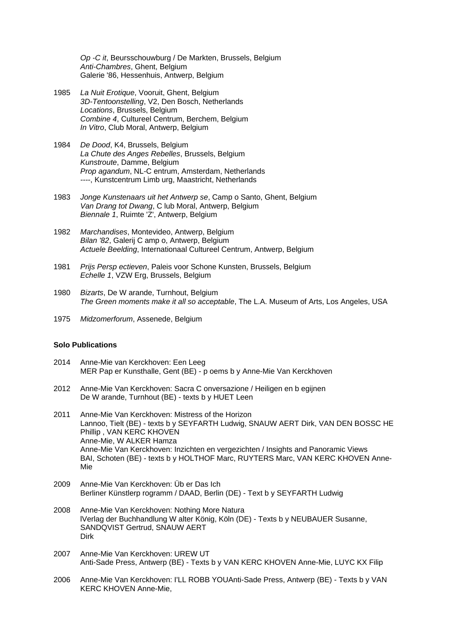*Op -C it*, Beursschouwburg / De Markten, Brussels, Belgium *Anti-Chambres*, Ghent, Belgium Galerie '86, Hessenhuis, Antwerp, Belgium

- 1985 *La Nuit Erotique*, Vooruit, Ghent, Belgium *3D-Tentoonstelling*, V2, Den Bosch, Netherlands *Locations*, Brussels, Belgium *Combine 4*, Cultureel Centrum, Berchem, Belgium *In Vitro*, Club Moral, Antwerp, Belgium
- 1984 *De Dood*, K4, Brussels, Belgium *La Chute des Anges Rebelles*, Brussels, Belgium *Kunstroute*, Damme, Belgium *Prop agandum*, NL-C entrum, Amsterdam, Netherlands *----*, Kunstcentrum Limb urg, Maastricht, Netherlands
- 1983 *Jonge Kunstenaars uit het Antwerp se*, Camp o Santo, Ghent, Belgium *Van Drang tot Dwang*, C lub Moral, Antwerp, Belgium *Biennale 1*, Ruimte 'Z', Antwerp, Belgium
- 1982 *Marchandises*, Montevideo, Antwerp, Belgium *Bilan '82*, Galerij C amp o, Antwerp, Belgium *Actuele Beelding*, Internationaal Cultureel Centrum, Antwerp, Belgium
- 1981 *Prijs Persp ectieven*, Paleis voor Schone Kunsten, Brussels, Belgium *Echelle 1*, VZW Erg, Brussels, Belgium
- 1980 *Bizarts*, De W arande, Turnhout, Belgium *The Green moments make it all so acceptable*, The L.A. Museum of Arts, Los Angeles, USA
- 1975 *Midzomerforum*, Assenede, Belgium

#### **Solo Publications**

- 2014 Anne-Mie van Kerckhoven: Een Leeg MER Pap er Kunsthalle, Gent (BE) - p oems b y Anne-Mie Van Kerckhoven
- 2012 Anne-Mie Van Kerckhoven: Sacra C onversazione / Heiligen en b egijnen De W arande, Turnhout (BE) - texts b y HUET Leen
- 2011 Anne-Mie Van Kerckhoven: Mistress of the Horizon Lannoo, Tielt (BE) - texts b y SEYFARTH Ludwig, SNAUW AERT Dirk, VAN DEN BOSSC HE Phillip , VAN KERC KHOVEN Anne-Mie, W ALKER Hamza Anne-Mie Van Kerckhoven: Inzichten en vergezichten / Insights and Panoramic Views BAI, Schoten (BE) - texts b y HOLTHOF Marc, RUYTERS Marc, VAN KERC KHOVEN Anne- Mie
- 2009 Anne-Mie Van Kerckhoven: Üb er Das Ich Berliner Künstlerp rogramm / DAAD, Berlin (DE) - Text b y SEYFARTH Ludwig
- 2008 Anne-Mie Van Kerckhoven: Nothing More Natura lVerlag der Buchhandlung W alter König, Köln (DE) - Texts b y NEUBAUER Susanne, SANDQVIST Gertrud, SNAUW AERT Dirk
- 2007 Anne-Mie Van Kerckhoven: UREW UT Anti-Sade Press, Antwerp (BE) - Texts b y VAN KERC KHOVEN Anne-Mie, LUYC KX Filip
- 2006 Anne-Mie Van Kerckhoven: I'LL ROBB YOUAnti-Sade Press, Antwerp (BE) Texts b y VAN KERC KHOVEN Anne-Mie,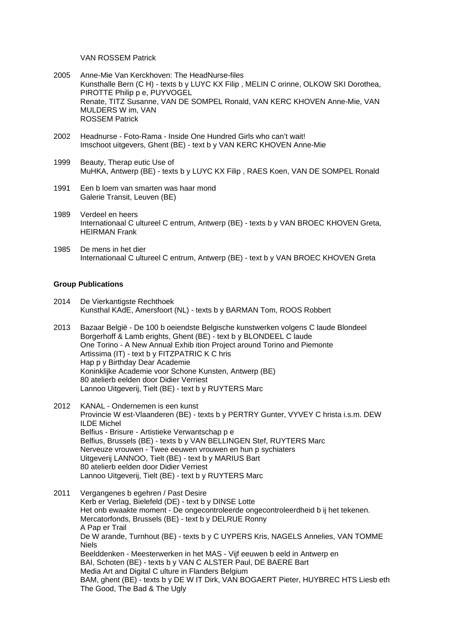VAN ROSSEM Patrick

- 2005 Anne-Mie Van Kerckhoven: The HeadNurse-files Kunsthalle Bern (C H) - texts b y LUYC KX Filip , MELIN C orinne, OLKOW SKI Dorothea, PIROTTE Philip p e, PUYVOGEL Renate, TITZ Susanne, VAN DE SOMPEL Ronald, VAN KERC KHOVEN Anne-Mie, VAN MULDERS W im, VAN ROSSEM Patrick
- 2002 Headnurse Foto-Rama Inside One Hundred Girls who can't wait! Imschoot uitgevers, Ghent (BE) - text b y VAN KERC KHOVEN Anne-Mie
- 1999 Beauty, Therap eutic Use of MuHKA, Antwerp (BE) - texts b y LUYC KX Filip , RAES Koen, VAN DE SOMPEL Ronald
- 1991 Een b loem van smarten was haar mond Galerie Transit, Leuven (BE)
- 1989 Verdeel en heers Internationaal C ultureel C entrum, Antwerp (BE) - texts b y VAN BROEC KHOVEN Greta, HEIRMAN Frank
- 1985 De mens in het dier Internationaal C ultureel C entrum, Antwerp (BE) - text b y VAN BROEC KHOVEN Greta

#### **Group Publications**

- 2014 De Vierkantigste Rechthoek Kunsthal KAdE, Amersfoort (NL) - texts b y BARMAN Tom, ROOS Robbert
- 2013 Bazaar België De 100 b oeiendste Belgische kunstwerken volgens C laude Blondeel Borgerhoff & Lamb erights, Ghent (BE) - text b y BLONDEEL C laude One Torino - A New Annual Exhib ition Project around Torino and Piemonte Artissima (IT) - text b y FITZPATRIC K C hris Hap p y Birthday Dear Academie Koninklijke Academie voor Schone Kunsten, Antwerp (BE) 80 atelierb eelden door Didier Verriest Lannoo Uitgeverij, Tielt (BE) - text b y RUYTERS Marc
- 2012 KANAL Ondernemen is een kunst Provincie W est-Vlaanderen (BE) - texts b y PERTRY Gunter, VYVEY C hrista i.s.m. DEW ILDE Michel Belfius - Brisure - Artistieke Verwantschap p e Belfius, Brussels (BE) - texts b y VAN BELLINGEN Stef, RUYTERS Marc Nerveuze vrouwen - Twee eeuwen vrouwen en hun p sychiaters Uitgeverij LANNOO, Tielt (BE) - text b y MARIUS Bart 80 atelierb eelden door Didier Verriest Lannoo Uitgeverij, Tielt (BE) - text b y RUYTERS Marc
- 2011 Vergangenes b egehren / Past Desire Kerb er Verlag, Bielefeld (DE) - text b y DINSE Lotte Het onb ewaakte moment - De ongecontroleerde ongecontroleerdheid b ij het tekenen. Mercatorfonds, Brussels (BE) - text b y DELRUE Ronny A Pap er Trail De W arande, Turnhout (BE) - texts b y C UYPERS Kris, NAGELS Annelies, VAN TOMME Niels Beelddenken - Meesterwerken in het MAS - Vijf eeuwen b eeld in Antwerp en BAI, Schoten (BE) - texts b y VAN C ALSTER Paul, DE BAERE Bart Media Art and Digital C ulture in Flanders Belgium BAM, ghent (BE) - texts b y DE W IT Dirk, VAN BOGAERT Pieter, HUYBREC HTS Liesb eth The Good, The Bad & The Ugly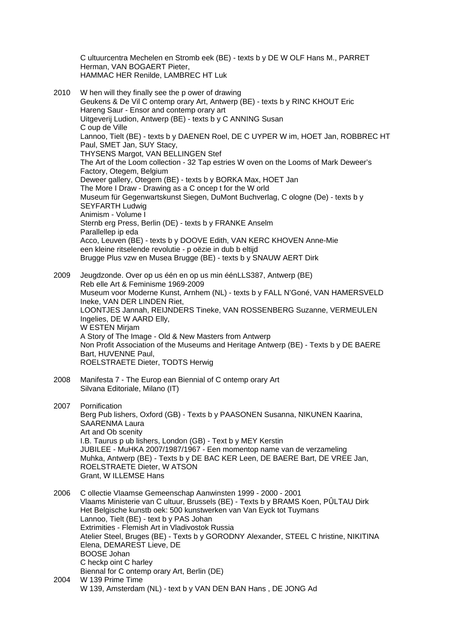C ultuurcentra Mechelen en Stromb eek (BE) - texts b y DE W OLF Hans M., PARRET Herman, VAN BOGAERT Pieter, HAMMAC HER Renilde, LAMBREC HT Luk

2010 W hen will they finally see the p ower of drawing Geukens & De Vil C ontemp orary Art, Antwerp (BE) - texts b y RINC KHOUT Eric Hareng Saur - Ensor and contemp orary art Uitgeverij Ludion, Antwerp (BE) - texts b y C ANNING Susan C oup de Ville Lannoo, Tielt (BE) - texts b y DAENEN Roel, DE C UYPER W im, HOET Jan, ROBBREC HT Paul, SMET Jan, SUY Stacy, THYSENS Margot, VAN BELLINGEN Stef The Art of the Loom collection - 32 Tap estries W oven on the Looms of Mark Deweer's Factory, Otegem, Belgium Deweer gallery, Otegem (BE) - texts b y BORKA Max, HOET Jan The More I Draw - Drawing as a C oncep t for the W orld Museum für Gegenwartskunst Siegen, DuMont Buchverlag, C ologne (De) - texts b y SEYFARTH Ludwig Animism - Volume I Sternb erg Press, Berlin (DE) - texts b y FRANKE Anselm Parallellep ip eda Acco, Leuven (BE) - texts b y DOOVE Edith, VAN KERC KHOVEN Anne-Mie een kleine ritselende revolutie - p oëzie in dub b eltijd Brugge Plus vzw en Musea Brugge (BE) - texts b y SNAUW AERT Dirk 2009 Jeugdzonde. Over op us één en op us min éénLLS387, Antwerp (BE)

 Reb elle Art & Feminisme 1969-2009 Museum voor Moderne Kunst, Arnhem (NL) - texts b y FALL N'Goné, VAN HAMERSVELD Ineke, VAN DER LINDEN Riet, LOONTJES Jannah, REIJNDERS Tineke, VAN ROSSENBERG Suzanne, VERMEULEN Ingelies, DE W AARD Elly, W ESTEN Mirjam A Story of The Image - Old & New Masters from Antwerp Non Profit Association of the Museums and Heritage Antwerp (BE) - Texts b y DE BAERE Bart, HUVENNE Paul, ROELSTRAETE Dieter, TODTS Herwig

2008 Manifesta 7 - The Europ ean Biennial of C ontemp orary Art Silvana Editoriale, Milano (IT)

2007 Pornification Berg Pub lishers, Oxford (GB) - Texts b y PAASONEN Susanna, NIKUNEN Kaarina, SAARENMA Laura Art and Ob scenity I.B. Taurus p ub lishers, London (GB) - Text b y MEY Kerstin JUBILEE - MuHKA 2007/1987/1967 - Een momentop name van de verzameling Muhka, Antwerp (BE) - Texts b y DE BAC KER Leen, DE BAERE Bart, DE VREE Jan, ROELSTRAETE Dieter, W ATSON Grant, W ILLEMSE Hans

2006 C ollectie Vlaamse Gemeenschap Aanwinsten 1999 - 2000 - 2001 Vlaams Ministerie van C ultuur, Brussels (BE) - Texts b y BRAMS Koen, PÛLTAU Dirk Het Belgische kunstb oek: 500 kunstwerken van Van Eyck tot Tuymans Lannoo, Tielt (BE) - text b y PAS Johan Extrimities - Flemish Art in Vladivostok Russia Atelier Steel, Bruges (BE) - Texts b y GORODNY Alexander, STEEL C hristine, NIKITINA Elena, DEMAREST Lieve, DE BOOSE Johan C heckp oint C harley Biennal for C ontemp orary Art, Berlin (DE) 2004 W 139 Prime Time W 139, Amsterdam (NL) - text b y VAN DEN BAN Hans , DE JONG Ad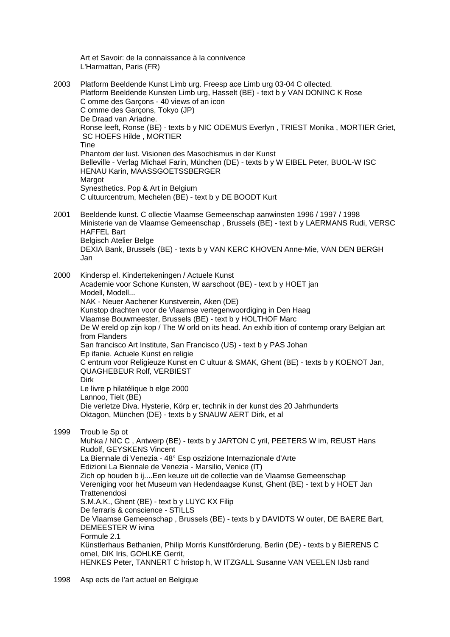Art et Savoir: de la connaissance à la connivence L'Harmattan, Paris (FR)

2003 Platform Beeldende Kunst Limb urg. Freesp ace Limb urg 03-04 C ollected. Platform Beeldende Kunsten Limb urg, Hasselt (BE) - text b y VAN DONINC K Rose C omme des Garçons - 40 views of an icon C omme des Garçons, Tokyo (JP) De Draad van Ariadne. Ronse leeft, Ronse (BE) - texts b y NIC ODEMUS Everlyn , TRIEST Monika , MORTIER Griet, SC HOEFS Hilde , MORTIER **Tine**  Phantom der lust. Visionen des Masochismus in der Kunst Belleville - Verlag Michael Farin, München (DE) - texts b y W EIBEL Peter, BUOL-W ISC HENAU Karin, MAASSGOETSSBERGER Margot Synesthetics. Pop & Art in Belgium C ultuurcentrum, Mechelen (BE) - text b y DE BOODT Kurt 2001 Beeldende kunst. C ollectie Vlaamse Gemeenschap aanwinsten 1996 / 1997 / 1998

 Ministerie van de Vlaamse Gemeenschap , Brussels (BE) - text b y LAERMANS Rudi, VERSC HAFFEL Bart Belgisch Atelier Belge DEXIA Bank, Brussels (BE) - texts b y VAN KERC KHOVEN Anne-Mie, VAN DEN BERGH Jan

2000 Kindersp el. Kindertekeningen / Actuele Kunst Academie voor Schone Kunsten, W aarschoot (BE) - text b y HOET jan Modell, Modell... NAK - Neuer Aachener Kunstverein, Aken (DE) Kunstop drachten voor de Vlaamse vertegenwoordiging in Den Haag Vlaamse Bouwmeester, Brussels (BE) - text b y HOLTHOF Marc De W ereld op zijn kop / The W orld on its head. An exhib ition of contemp orary Belgian art from Flanders San francisco Art Institute, San Francisco (US) - text b y PAS Johan Ep ifanie. Actuele Kunst en religie C entrum voor Religieuze Kunst en C ultuur & SMAK, Ghent (BE) - texts b y KOENOT Jan, QUAGHEBEUR Rolf, VERBIEST Dirk Le livre p hilatélique b elge 2000 Lannoo, Tielt (BE) Die verletze Diva. Hysterie, Körp er, technik in der kunst des 20 Jahrhunderts Oktagon, München (DE) - texts b y SNAUW AERT Dirk, et al

1999 Troub le Sp ot

 Muhka / NIC C , Antwerp (BE) - texts b y JARTON C yril, PEETERS W im, REUST Hans Rudolf, GEYSKENS Vincent La Biennale di Venezia - 48° Esp oszizione Internazionale d'Arte Edizioni La Biennale de Venezia - Marsilio, Venice (IT) Zich op houden b ij....Een keuze uit de collectie van de Vlaamse Gemeenschap Vereniging voor het Museum van Hedendaagse Kunst, Ghent (BE) - text b y HOET Jan **Trattenendosi**  S.M.A.K., Ghent (BE) - text b y LUYC KX Filip De ferraris & conscience - STILLS De Vlaamse Gemeenschap , Brussels (BE) - texts b y DAVIDTS W outer, DE BAERE Bart, DEMEESTER W ivina Formule 2.1 Künstlerhaus Bethanien, Philip Morris Kunstförderung, Berlin (DE) - texts b y BIERENS C ornel, DIK Iris, GOHLKE Gerrit, HENKES Peter, TANNERT C hristop h, W ITZGALL Susanne VAN VEELEN IJsb rand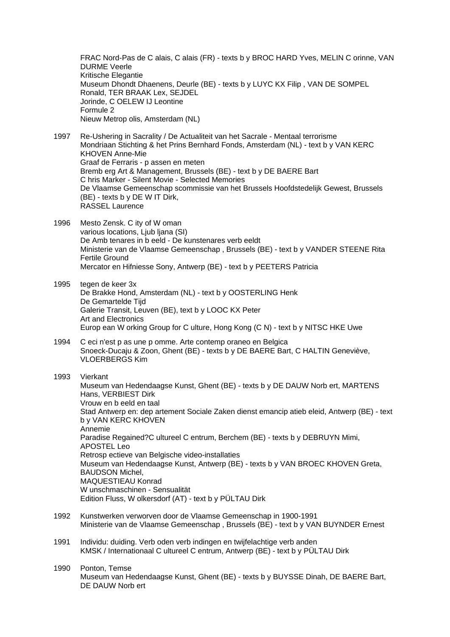FRAC Nord-Pas de C alais, C alais (FR) - texts b y BROC HARD Yves, MELIN C orinne, VAN DURME Veerle Kritische Elegantie Museum Dhondt Dhaenens, Deurle (BE) - texts b y LUYC KX Filip , VAN DE SOMPEL Ronald, TER BRAAK Lex, SEJDEL Jorinde, C OELEW IJ Leontine Formule 2 Nieuw Metrop olis, Amsterdam (NL)

- 1997 Re-Ushering in Sacrality / De Actualiteit van het Sacrale Mentaal terrorisme Mondriaan Stichting & het Prins Bernhard Fonds, Amsterdam (NL) - text b y VAN KERC KHOVEN Anne-Mie Graaf de Ferraris - p assen en meten Bremb erg Art & Management, Brussels (BE) - text b y DE BAERE Bart C hris Marker - Silent Movie - Selected Memories De Vlaamse Gemeenschap scommissie van het Brussels Hoofdstedelijk Gewest, Brussels (BE) - texts b y DE W IT Dirk, RASSEL Laurence
- 1996 Mesto Zensk. C ity of W oman various locations, Ljub ljana (SI) De Amb tenares in b eeld - De kunstenares verb eeldt Ministerie van de Vlaamse Gemeenschap , Brussels (BE) - text b y VANDER STEENE Rita Fertile Ground Mercator en Hifniesse Sony, Antwerp (BE) - text b y PEETERS Patricia
- 1995 tegen de keer 3x De Brakke Hond, Amsterdam (NL) - text b y OOSTERLING Henk De Gemartelde Tijd Galerie Transit, Leuven (BE), text b y LOOC KX Peter Art and Electronics Europ ean W orking Group for C ulture, Hong Kong (C N) - text b y NITSC HKE Uwe
- 1994 C eci n'est p as une p omme. Arte contemp oraneo en Belgica Snoeck-Ducaju & Zoon, Ghent (BE) - texts b y DE BAERE Bart, C HALTIN Geneviève, VLOERBERGS Kim

## 1993 Vierkant

 Museum van Hedendaagse Kunst, Ghent (BE) - texts b y DE DAUW Norb ert, MARTENS Hans, VERBIEST Dirk Vrouw en b eeld en taal Stad Antwerp en: dep artement Sociale Zaken dienst emancip atieb eleid, Antwerp (BE) - text b y VAN KERC KHOVEN Annemie Paradise Regained?C ultureel C entrum, Berchem (BE) - texts b y DEBRUYN Mimi, APOSTEL Leo Retrosp ectieve van Belgische video-installaties Museum van Hedendaagse Kunst, Antwerp (BE) - texts b y VAN BROEC KHOVEN Greta, BAUDSON Michel, MAQUESTIEAU Konrad W unschmaschinen - Sensualität Edition Fluss, W olkersdorf (AT) - text b y PÜLTAU Dirk

- 1992 Kunstwerken verworven door de Vlaamse Gemeenschap in 1900-1991 Ministerie van de Vlaamse Gemeenschap , Brussels (BE) - text b y VAN BUYNDER Ernest
- 1991 Individu: duiding. Verb oden verb indingen en twijfelachtige verb anden KMSK / Internationaal C ultureel C entrum, Antwerp (BE) - text b y PÜLTAU Dirk
- 1990 Ponton, Temse Museum van Hedendaagse Kunst, Ghent (BE) - texts b y BUYSSE Dinah, DE BAERE Bart, DE DAUW Norb ert